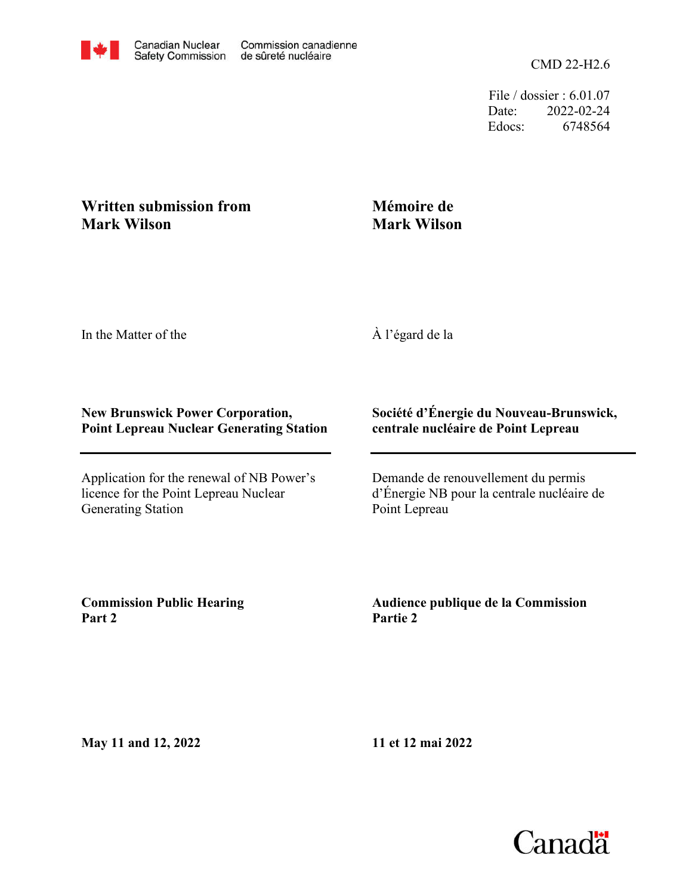File / dossier : 6.01.07 Date: 2022-02-24 Edocs: 6748564

## **Written submission from Mark Wilson**

## **Mémoire de Mark Wilson**

In the Matter of the

À l'égard de la

## **New Brunswick Power Corporation, Point Lepreau Nuclear Generating Station**

Application for the renewal of NB Power's licence for the Point Lepreau Nuclear Generating Station

## **Société d'Énergie du Nouveau-Brunswick, centrale nucléaire de Point Lepreau**

Demande de renouvellement du permis d'Énergie NB pour la centrale nucléaire de Point Lepreau

**Commission Public Hearing Part 2**

**Audience publique de la Commission Partie 2**

**May 11 and 12, 2022**

**11 et 12 mai 2022**